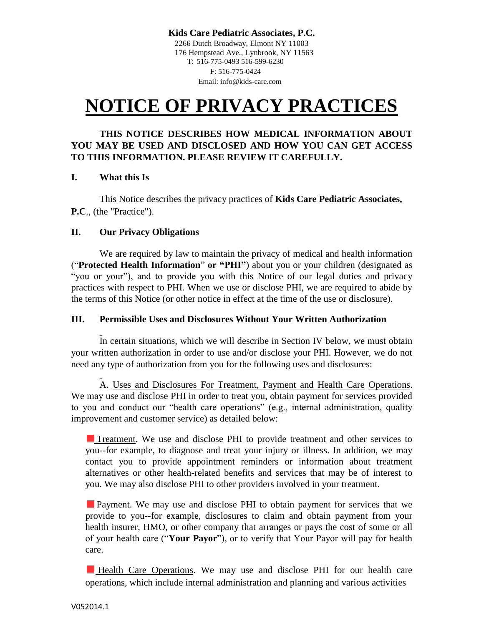**Kids Care Pediatric Associates, P.C.** 2266 Dutch Broadway, Elmont NY 11003 176 Hempstead Ave., Lynbrook, NY 11563 T: 516-775-0493 516-599-6230 F: 516-775-0424 Email: info@kids-care.com

# **NOTICE OF PRIVACY PRACTICES**

#### **THIS NOTICE DESCRIBES HOW MEDICAL INFORMATION ABOUT YOU MAY BE USED AND DISCLOSED AND HOW YOU CAN GET ACCESS TO THIS INFORMATION. PLEASE REVIEW IT CAREFULLY.**

#### **I. What this Is**

This Notice describes the privacy practices of **Kids Care Pediatric Associates, P.C**., (the "Practice").

#### **II. Our Privacy Obligations**

We are required by law to maintain the privacy of medical and health information ("**Protected Health Information**" **or "PHI"**) about you or your children (designated as "you or your"), and to provide you with this Notice of our legal duties and privacy practices with respect to PHI. When we use or disclose PHI, we are required to abide by the terms of this Notice (or other notice in effect at the time of the use or disclosure).

#### **III. Permissible Uses and Disclosures Without Your Written Authorization**

In certain situations, which we will describe in Section IV below, we must obtain your written authorization in order to use and/or disclose your PHI. However, we do not need any type of authorization from you for the following uses and disclosures:

A. Uses and Disclosures For Treatment, Payment and Health Care Operations. We may use and disclose PHI in order to treat you, obtain payment for services provided to you and conduct our "health care operations" (e.g., internal administration, quality improvement and customer service) as detailed below:

Treatment. We use and disclose PHI to provide treatment and other services to you--for example, to diagnose and treat your injury or illness. In addition, we may contact you to provide appointment reminders or information about treatment alternatives or other health-related benefits and services that may be of interest to you. We may also disclose PHI to other providers involved in your treatment.

Payment. We may use and disclose PHI to obtain payment for services that we provide to you--for example, disclosures to claim and obtain payment from your health insurer, HMO, or other company that arranges or pays the cost of some or all of your health care ("**Your Payor**"), or to verify that Your Payor will pay for health care.

Health Care Operations. We may use and disclose PHI for our health care operations, which include internal administration and planning and various activities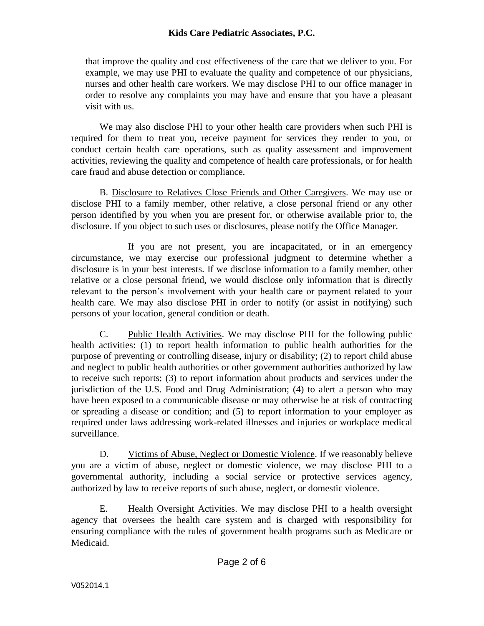## **Kids Care Pediatric Associates, P.C.**

that improve the quality and cost effectiveness of the care that we deliver to you. For example, we may use PHI to evaluate the quality and competence of our physicians, nurses and other health care workers. We may disclose PHI to our office manager in order to resolve any complaints you may have and ensure that you have a pleasant visit with us.

We may also disclose PHI to your other health care providers when such PHI is required for them to treat you, receive payment for services they render to you, or conduct certain health care operations, such as quality assessment and improvement activities, reviewing the quality and competence of health care professionals, or for health care fraud and abuse detection or compliance.

B. Disclosure to Relatives Close Friends and Other Caregivers. We may use or disclose PHI to a family member, other relative, a close personal friend or any other person identified by you when you are present for, or otherwise available prior to, the disclosure. If you object to such uses or disclosures, please notify the Office Manager.

If you are not present, you are incapacitated, or in an emergency circumstance, we may exercise our professional judgment to determine whether a disclosure is in your best interests. If we disclose information to a family member, other relative or a close personal friend, we would disclose only information that is directly relevant to the person's involvement with your health care or payment related to your health care. We may also disclose PHI in order to notify (or assist in notifying) such persons of your location, general condition or death.

C. Public Health Activities. We may disclose PHI for the following public health activities: (1) to report health information to public health authorities for the purpose of preventing or controlling disease, injury or disability; (2) to report child abuse and neglect to public health authorities or other government authorities authorized by law to receive such reports; (3) to report information about products and services under the jurisdiction of the U.S. Food and Drug Administration; (4) to alert a person who may have been exposed to a communicable disease or may otherwise be at risk of contracting or spreading a disease or condition; and (5) to report information to your employer as required under laws addressing work-related illnesses and injuries or workplace medical surveillance.

D. Victims of Abuse, Neglect or Domestic Violence. If we reasonably believe you are a victim of abuse, neglect or domestic violence, we may disclose PHI to a governmental authority, including a social service or protective services agency, authorized by law to receive reports of such abuse, neglect, or domestic violence.

E. Health Oversight Activities. We may disclose PHI to a health oversight agency that oversees the health care system and is charged with responsibility for ensuring compliance with the rules of government health programs such as Medicare or Medicaid.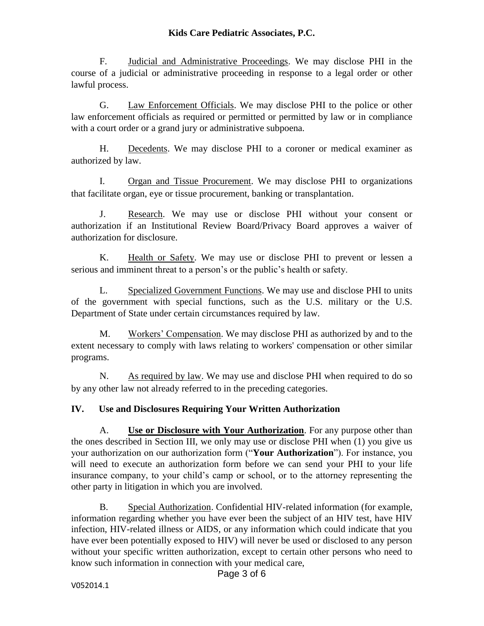F. Judicial and Administrative Proceedings. We may disclose PHI in the course of a judicial or administrative proceeding in response to a legal order or other lawful process.

G. Law Enforcement Officials. We may disclose PHI to the police or other law enforcement officials as required or permitted or permitted by law or in compliance with a court order or a grand jury or administrative subpoena.

H. Decedents. We may disclose PHI to a coroner or medical examiner as authorized by law.

I. Organ and Tissue Procurement. We may disclose PHI to organizations that facilitate organ, eye or tissue procurement, banking or transplantation.

J. Research. We may use or disclose PHI without your consent or authorization if an Institutional Review Board/Privacy Board approves a waiver of authorization for disclosure.

K. Health or Safety. We may use or disclose PHI to prevent or lessen a serious and imminent threat to a person's or the public's health or safety.

L. Specialized Government Functions. We may use and disclose PHI to units of the government with special functions, such as the U.S. military or the U.S. Department of State under certain circumstances required by law.

M. Workers' Compensation. We may disclose PHI as authorized by and to the extent necessary to comply with laws relating to workers' compensation or other similar programs.

N. As required by law. We may use and disclose PHI when required to do so by any other law not already referred to in the preceding categories.

## **IV. Use and Disclosures Requiring Your Written Authorization**

A. **Use or Disclosure with Your Authorization**. For any purpose other than the ones described in Section III, we only may use or disclose PHI when (1) you give us your authorization on our authorization form ("**Your Authorization**"). For instance, you will need to execute an authorization form before we can send your PHI to your life insurance company, to your child's camp or school, or to the attorney representing the other party in litigation in which you are involved.

B. Special Authorization. Confidential HIV-related information (for example, information regarding whether you have ever been the subject of an HIV test, have HIV infection, HIV-related illness or AIDS, or any information which could indicate that you have ever been potentially exposed to HIV) will never be used or disclosed to any person without your specific written authorization, except to certain other persons who need to know such information in connection with your medical care,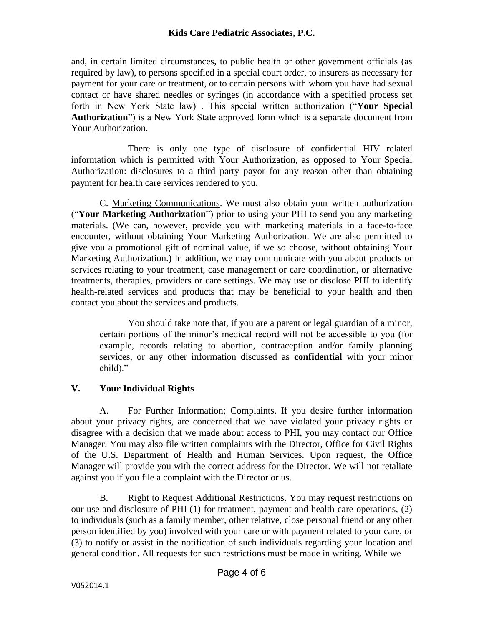and, in certain limited circumstances, to public health or other government officials (as required by law), to persons specified in a special court order, to insurers as necessary for payment for your care or treatment, or to certain persons with whom you have had sexual contact or have shared needles or syringes (in accordance with a specified process set forth in New York State law) . This special written authorization ("**Your Special Authorization**") is a New York State approved form which is a separate document from Your Authorization.

There is only one type of disclosure of confidential HIV related information which is permitted with Your Authorization, as opposed to Your Special Authorization: disclosures to a third party payor for any reason other than obtaining payment for health care services rendered to you.

C. Marketing Communications. We must also obtain your written authorization ("**Your Marketing Authorization**") prior to using your PHI to send you any marketing materials. (We can, however, provide you with marketing materials in a face-to-face encounter, without obtaining Your Marketing Authorization. We are also permitted to give you a promotional gift of nominal value, if we so choose, without obtaining Your Marketing Authorization.) In addition, we may communicate with you about products or services relating to your treatment, case management or care coordination, or alternative treatments, therapies, providers or care settings. We may use or disclose PHI to identify health-related services and products that may be beneficial to your health and then contact you about the services and products.

You should take note that, if you are a parent or legal guardian of a minor, certain portions of the minor's medical record will not be accessible to you (for example, records relating to abortion, contraception and/or family planning services, or any other information discussed as **confidential** with your minor child)."

## **V. Your Individual Rights**

A. For Further Information; Complaints. If you desire further information about your privacy rights, are concerned that we have violated your privacy rights or disagree with a decision that we made about access to PHI, you may contact our Office Manager. You may also file written complaints with the Director, Office for Civil Rights of the U.S. Department of Health and Human Services. Upon request, the Office Manager will provide you with the correct address for the Director. We will not retaliate against you if you file a complaint with the Director or us.

B. Right to Request Additional Restrictions. You may request restrictions on our use and disclosure of PHI (1) for treatment, payment and health care operations, (2) to individuals (such as a family member, other relative, close personal friend or any other person identified by you) involved with your care or with payment related to your care, or (3) to notify or assist in the notification of such individuals regarding your location and general condition. All requests for such restrictions must be made in writing. While we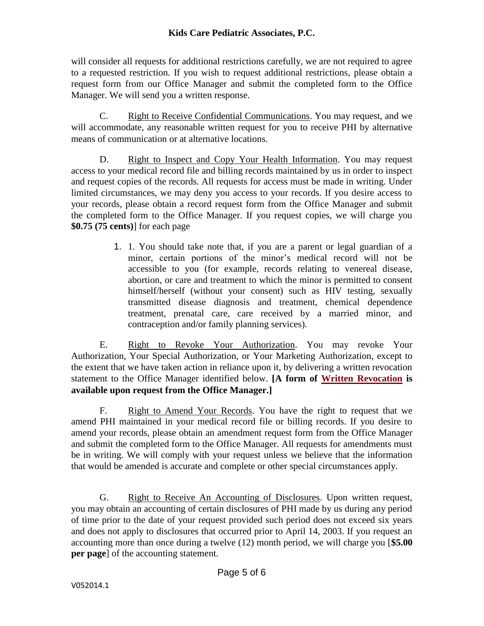will consider all requests for additional restrictions carefully, we are not required to agree to a requested restriction. If you wish to request additional restrictions, please obtain a request form from our Office Manager and submit the completed form to the Office Manager. We will send you a written response.

C. Right to Receive Confidential Communications. You may request, and we will accommodate, any reasonable written request for you to receive PHI by alternative means of communication or at alternative locations.

D. Right to Inspect and Copy Your Health Information. You may request access to your medical record file and billing records maintained by us in order to inspect and request copies of the records. All requests for access must be made in writing. Under limited circumstances, we may deny you access to your records. If you desire access to your records, please obtain a record request form from the Office Manager and submit the completed form to the Office Manager. If you request copies, we will charge you **\$0.75 (75 cents)**] for each page

> 1. 1. You should take note that, if you are a parent or legal guardian of a minor, certain portions of the minor's medical record will not be accessible to you (for example, records relating to venereal disease, abortion, or care and treatment to which the minor is permitted to consent himself/herself (without your consent) such as HIV testing, sexually transmitted disease diagnosis and treatment, chemical dependence treatment, prenatal care, care received by a married minor, and contraception and/or family planning services).

E. Right to Revoke Your Authorization. You may revoke Your Authorization, Your Special Authorization, or Your Marketing Authorization, except to the extent that we have taken action in reliance upon it, by delivering a written revocation statement to the Office Manager identified below. **[A form of Written Revocation is available upon request from the Office Manager.]** 

F. Right to Amend Your Records. You have the right to request that we amend PHI maintained in your medical record file or billing records. If you desire to amend your records, please obtain an amendment request form from the Office Manager and submit the completed form to the Office Manager. All requests for amendments must be in writing. We will comply with your request unless we believe that the information that would be amended is accurate and complete or other special circumstances apply.

G. Right to Receive An Accounting of Disclosures. Upon written request, you may obtain an accounting of certain disclosures of PHI made by us during any period of time prior to the date of your request provided such period does not exceed six years and does not apply to disclosures that occurred prior to April 14, 2003. If you request an accounting more than once during a twelve (12) month period, we will charge you [**\$5.00 per page**] of the accounting statement.